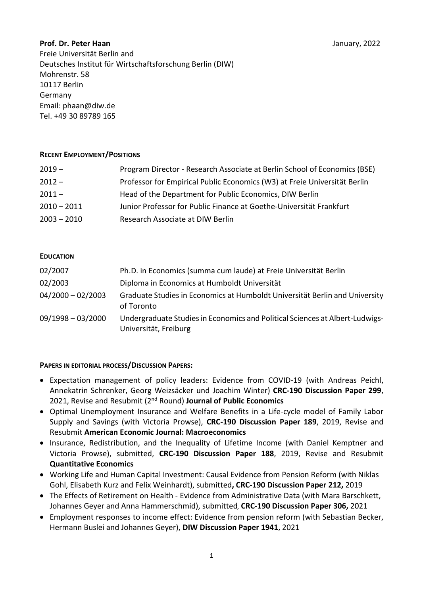### Prof. Dr. Peter Haan January, 2022

Freie Universität Berlin and Deutsches Institut für Wirtschaftsforschung Berlin (DIW) Mohrenstr. 58 10117 Berlin Germany Email: phaan@diw.de Tel. +49 30 89789 165

#### RECENT EMPLOYMENT/POSITIONS

| Program Director - Research Associate at Berlin School of Economics (BSE) |
|---------------------------------------------------------------------------|
| Professor for Empirical Public Economics (W3) at Freie Universität Berlin |
| Head of the Department for Public Economics, DIW Berlin                   |
| Junior Professor for Public Finance at Goethe-Universität Frankfurt       |
| Research Associate at DIW Berlin                                          |
|                                                                           |

### EDUCATION

| 02/2007             | Ph.D. in Economics (summa cum laude) at Freie Universität Berlin                                      |
|---------------------|-------------------------------------------------------------------------------------------------------|
| 02/2003             | Diploma in Economics at Humboldt Universität                                                          |
| $04/2000 - 02/2003$ | Graduate Studies in Economics at Humboldt Universität Berlin and University<br>of Toronto             |
| $09/1998 - 03/2000$ | Undergraduate Studies in Economics and Political Sciences at Albert-Ludwigs-<br>Universität, Freiburg |

#### PAPERS IN EDITORIAL PROCESS/DISCUSSION PAPERS:

- Expectation management of policy leaders: Evidence from COVID-19 (with Andreas Peichl, Annekatrin Schrenker, Georg Weizsäcker und Joachim Winter) CRC-190 Discussion Paper 299, 2021, Revise and Resubmit (2<sup>nd</sup> Round) Journal of Public Economics
- Optimal Unemployment Insurance and Welfare Benefits in a Life-cycle model of Family Labor Supply and Savings (with Victoria Prowse), CRC-190 Discussion Paper 189, 2019, Revise and Resubmit American Economic Journal: Macroeconomics
- Insurance, Redistribution, and the Inequality of Lifetime Income (with Daniel Kemptner and Victoria Prowse), submitted, CRC-190 Discussion Paper 188, 2019, Revise and Resubmit Quantitative Economics
- Working Life and Human Capital Investment: Causal Evidence from Pension Reform (with Niklas Gohl, Elisabeth Kurz and Felix Weinhardt), submitted, CRC-190 Discussion Paper 212, 2019
- The Effects of Retirement on Health Evidence from Administrative Data (with Mara Barschkett, Johannes Geyer and Anna Hammerschmid), submitted, CRC-190 Discussion Paper 306, 2021
- Employment responses to income effect: Evidence from pension reform (with Sebastian Becker, Hermann Buslei and Johannes Geyer), DIW Discussion Paper 1941, 2021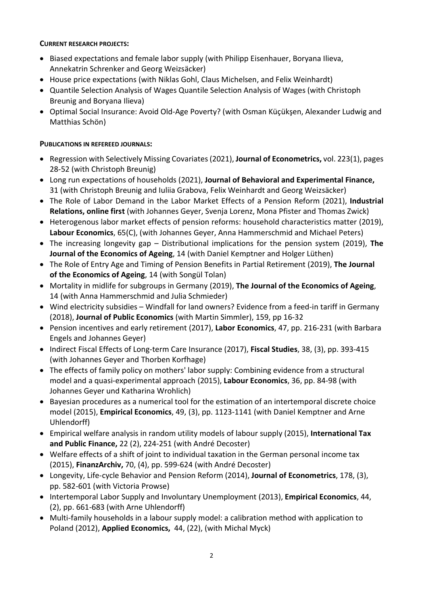### CURRENT RESEARCH PROJECTS:

- Biased expectations and female labor supply (with Philipp Eisenhauer, Boryana Ilieva, Annekatrin Schrenker and Georg Weizsäcker)
- House price expectations (with Niklas Gohl, Claus Michelsen, and Felix Weinhardt)
- Quantile Selection Analysis of Wages Quantile Selection Analysis of Wages (with Christoph Breunig and Boryana Ilieva)
- Optimal Social Insurance: Avoid Old-Age Poverty? (with Osman Küçükşen, Alexander Ludwig and Matthias Schön)

## PUBLICATIONS IN REFEREED JOURNALS:

- Regression with Selectively Missing Covariates (2021), **Journal of Econometrics**, vol. 223(1), pages 28-52 (with Christoph Breunig)
- Long run expectations of households (2021), Journal of Behavioral and Experimental Finance, 31 (with Christoph Breunig and Iuliia Grabova, Felix Weinhardt and Georg Weizsäcker)
- The Role of Labor Demand in the Labor Market Effects of a Pension Reform (2021), Industrial Relations, online first (with Johannes Geyer, Svenja Lorenz, Mona Pfister and Thomas Zwick)
- Heterogenous labor market effects of pension reforms: household characteristics matter (2019), Labour Economics, 65(C), (with Johannes Geyer, Anna Hammerschmid and Michael Peters)
- The increasing longevity gap Distributional implications for the pension system (2019), The Journal of the Economics of Ageing, 14 (with Daniel Kemptner and Holger Lüthen)
- The Role of Entry Age and Timing of Pension Benefits in Partial Retirement (2019), The Journal of the Economics of Ageing, 14 (with Songül Tolan)
- Mortality in midlife for subgroups in Germany (2019), The Journal of the Economics of Ageing, 14 (with Anna Hammerschmid and Julia Schmieder)
- Wind electricity subsidies Windfall for land owners? Evidence from a feed-in tariff in Germany (2018), Journal of Public Economics (with Martin Simmler), 159, pp 16-32
- Pension incentives and early retirement (2017), Labor Economics, 47, pp. 216-231 (with Barbara Engels and Johannes Geyer)
- Indirect Fiscal Effects of Long-term Care Insurance (2017), Fiscal Studies, 38, (3), pp. 393-415 (with Johannes Geyer and Thorben Korfhage)
- The effects of family policy on mothers' labor supply: Combining evidence from a structural model and a quasi-experimental approach (2015), Labour Economics, 36, pp. 84-98 (with Johannes Geyer und Katharina Wrohlich)
- Bayesian procedures as a numerical tool for the estimation of an intertemporal discrete choice model (2015), Empirical Economics, 49, (3), pp. 1123-1141 (with Daniel Kemptner and Arne Uhlendorff)
- Empirical welfare analysis in random utility models of labour supply (2015), International Tax and Public Finance, 22 (2), 224-251 (with André Decoster)
- Welfare effects of a shift of joint to individual taxation in the German personal income tax (2015), FinanzArchiv, 70, (4), pp. 599-624 (with André Decoster)
- Longevity, Life-cycle Behavior and Pension Reform (2014), Journal of Econometrics, 178, (3), pp. 582-601 (with Victoria Prowse)
- Intertemporal Labor Supply and Involuntary Unemployment (2013), Empirical Economics, 44, (2), pp. 661-683 (with Arne Uhlendorff)
- Multi-family households in a labour supply model: a calibration method with application to Poland (2012), Applied Economics, 44, (22), (with Michal Myck)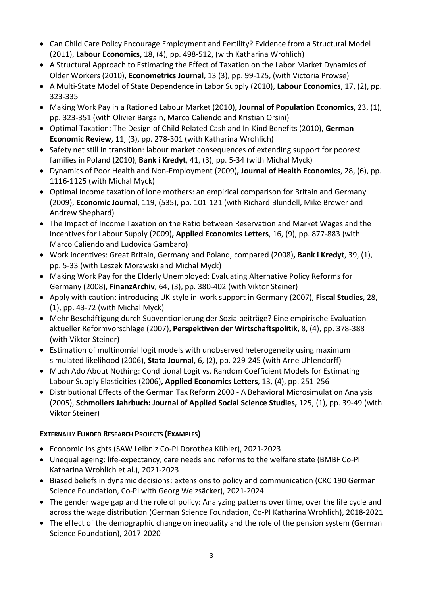- Can Child Care Policy Encourage Employment and Fertility? Evidence from a Structural Model (2011), Labour Economics, 18, (4), pp. 498-512, (with Katharina Wrohlich)
- A Structural Approach to Estimating the Effect of Taxation on the Labor Market Dynamics of Older Workers (2010), Econometrics Journal, 13 (3), pp. 99-125, (with Victoria Prowse)
- A Multi-State Model of State Dependence in Labor Supply (2010), Labour Economics, 17, (2), pp. 323-335
- Making Work Pay in a Rationed Labour Market (2010), Journal of Population Economics, 23, (1), pp. 323-351 (with Olivier Bargain, Marco Caliendo and Kristian Orsini)
- Optimal Taxation: The Design of Child Related Cash and In-Kind Benefits (2010), German Economic Review, 11, (3), pp. 278-301 (with Katharina Wrohlich)
- Safety net still in transition: labour market consequences of extending support for poorest families in Poland (2010), Bank i Kredyt, 41, (3), pp. 5-34 (with Michal Myck)
- Dynamics of Poor Health and Non-Employment (2009), Journal of Health Economics, 28, (6), pp. 1116-1125 (with Michal Myck)
- Optimal income taxation of lone mothers: an empirical comparison for Britain and Germany (2009), Economic Journal, 119, (535), pp. 101-121 (with Richard Blundell, Mike Brewer and Andrew Shephard)
- The Impact of Income Taxation on the Ratio between Reservation and Market Wages and the Incentives for Labour Supply (2009), Applied Economics Letters, 16, (9), pp. 877-883 (with Marco Caliendo and Ludovica Gambaro)
- Work incentives: Great Britain, Germany and Poland, compared (2008), Bank i Kredyt, 39, (1), pp. 5-33 (with Leszek Morawski and Michal Myck)
- Making Work Pay for the Elderly Unemployed: Evaluating Alternative Policy Reforms for Germany (2008), FinanzArchiv, 64, (3), pp. 380-402 (with Viktor Steiner)
- Apply with caution: introducing UK-style in-work support in Germany (2007), Fiscal Studies, 28, (1), pp. 43-72 (with Michal Myck)
- Mehr Beschäftigung durch Subventionierung der Sozialbeiträge? Eine empirische Evaluation aktueller Reformvorschläge (2007), Perspektiven der Wirtschaftspolitik, 8, (4), pp. 378-388 (with Viktor Steiner)
- Estimation of multinomial logit models with unobserved heterogeneity using maximum simulated likelihood (2006), Stata Journal, 6, (2), pp. 229-245 (with Arne Uhlendorff)
- Much Ado About Nothing: Conditional Logit vs. Random Coefficient Models for Estimating Labour Supply Elasticities (2006), Applied Economics Letters, 13, (4), pp. 251-256
- Distributional Effects of the German Tax Reform 2000 A Behavioral Microsimulation Analysis (2005), Schmollers Jahrbuch: Journal of Applied Social Science Studies, 125, (1), pp. 39-49 (with Viktor Steiner)

# EXTERNALLY FUNDED RESEARCH PROJECTS (EXAMPLES)

- Economic Insights (SAW Leibniz Co-PI Dorothea Kübler), 2021-2023
- Unequal ageing: life-expectancy, care needs and reforms to the welfare state (BMBF Co-PI Katharina Wrohlich et al.), 2021-2023
- Biased beliefs in dynamic decisions: extensions to policy and communication (CRC 190 German Science Foundation, Co-PI with Georg Weizsäcker), 2021-2024
- The gender wage gap and the role of policy: Analyzing patterns over time, over the life cycle and across the wage distribution (German Science Foundation, Co-PI Katharina Wrohlich), 2018-2021
- The effect of the demographic change on inequality and the role of the pension system (German Science Foundation), 2017-2020